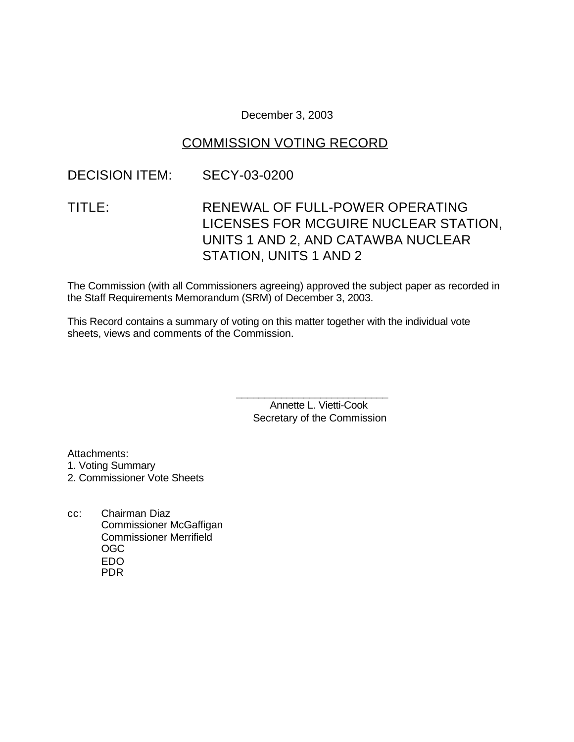December 3, 2003

# COMMISSION VOTING RECORD

### DECISION ITEM: SECY-03-0200

# TITLE: RENEWAL OF FULL-POWER OPERATING LICENSES FOR MCGUIRE NUCLEAR STATION, UNITS 1 AND 2, AND CATAWBA NUCLEAR STATION, UNITS 1 AND 2

The Commission (with all Commissioners agreeing) approved the subject paper as recorded in the Staff Requirements Memorandum (SRM) of December 3, 2003.

This Record contains a summary of voting on this matter together with the individual vote sheets, views and comments of the Commission.

> Annette L. Vietti-Cook Secretary of the Commission

\_\_\_\_\_\_\_\_\_\_\_\_\_\_\_\_\_\_\_\_\_\_\_\_\_\_\_

Attachments:

1. Voting Summary

2. Commissioner Vote Sheets

cc: Chairman Diaz Commissioner McGaffigan Commissioner Merrifield OGC EDO PDR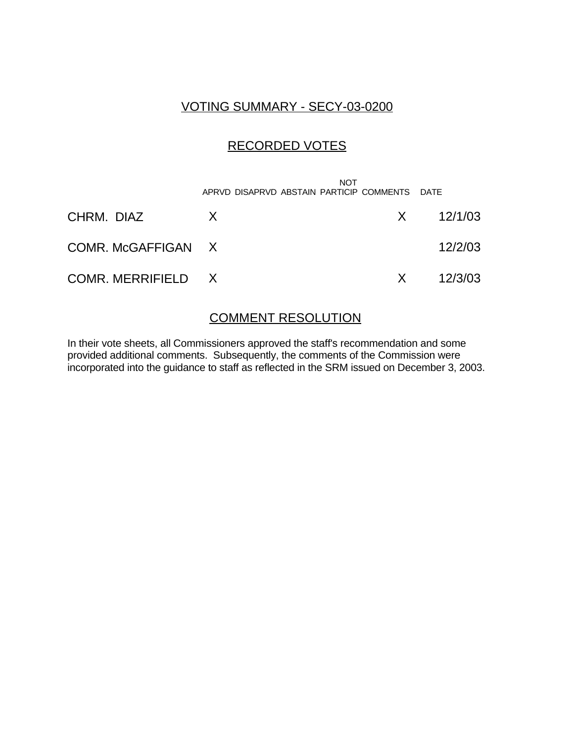### VOTING SUMMARY - SECY-03-0200

## RECORDED VOTES

|                    | <b>NOT</b><br>APRVD DISAPRVD ABSTAIN PARTICIP COMMENTS DATE |     |               |
|--------------------|-------------------------------------------------------------|-----|---------------|
| CHRM. DIAZ         | $\mathsf{X}$                                                |     | $X = 12/1/03$ |
| COMR. McGAFFIGAN X |                                                             |     | 12/2/03       |
| COMR. MERRIFIELD X |                                                             | X X | 12/3/03       |

### COMMENT RESOLUTION

In their vote sheets, all Commissioners approved the staff's recommendation and some provided additional comments. Subsequently, the comments of the Commission were incorporated into the guidance to staff as reflected in the SRM issued on December 3, 2003.